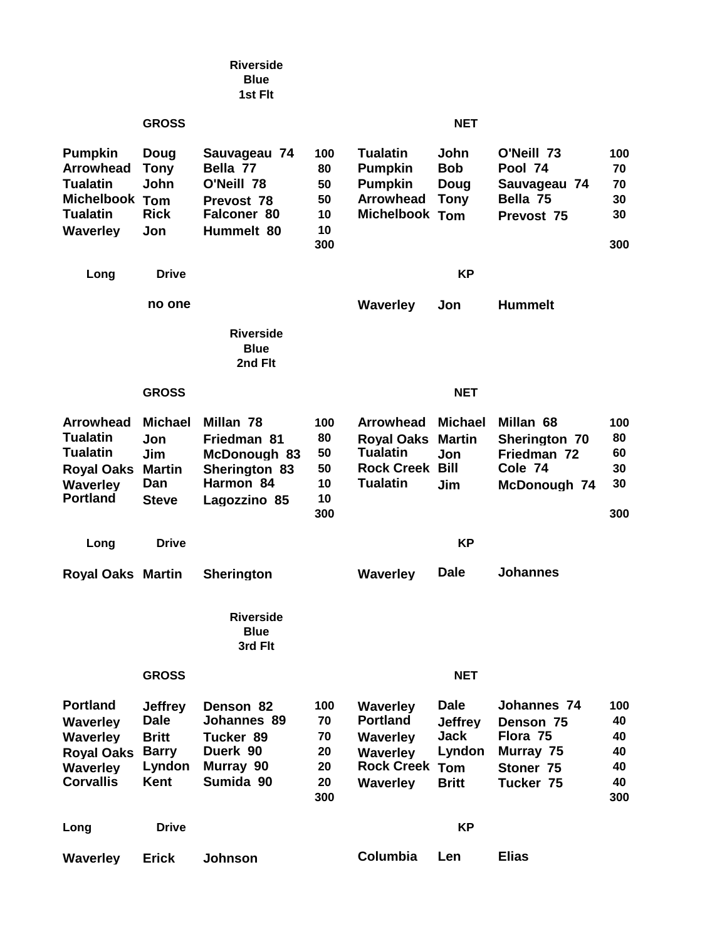|                                                                                                                   |                                                                                        | <b>Riverside</b><br><b>Blue</b><br>1st Flt                                             |                                          |                                                                                                                      |                                                                        |                                                                             |                                          |  |
|-------------------------------------------------------------------------------------------------------------------|----------------------------------------------------------------------------------------|----------------------------------------------------------------------------------------|------------------------------------------|----------------------------------------------------------------------------------------------------------------------|------------------------------------------------------------------------|-----------------------------------------------------------------------------|------------------------------------------|--|
|                                                                                                                   | <b>GROSS</b>                                                                           |                                                                                        |                                          | <b>NET</b>                                                                                                           |                                                                        |                                                                             |                                          |  |
| <b>Pumpkin</b><br><b>Arrowhead</b><br><b>Tualatin</b><br>Michelbook Tom<br><b>Tualatin</b><br><b>Waverley</b>     | Doug<br><b>Tony</b><br>John<br><b>Rick</b><br>Jon                                      | Sauvageau 74<br>Bella 77<br>O'Neill 78<br>Prevost 78<br>Falconer 80<br>Hummelt 80      | 100<br>80<br>50<br>50<br>10<br>10<br>300 | <b>Tualatin</b><br><b>Pumpkin</b><br><b>Pumpkin</b><br><b>Arrowhead</b><br>Michelbook Tom                            | John<br><b>Bob</b><br>Doug<br><b>Tony</b>                              | O'Neill 73<br>Pool 74<br>Sauvageau 74<br>Bella 75<br>Prevost 75             | 100<br>70<br>70<br>30<br>30<br>300       |  |
| Long                                                                                                              | <b>Drive</b>                                                                           |                                                                                        | <b>KP</b>                                |                                                                                                                      |                                                                        |                                                                             |                                          |  |
|                                                                                                                   | no one                                                                                 | <b>Riverside</b><br><b>Blue</b><br>2nd Flt                                             |                                          | <b>Waverley</b>                                                                                                      | Jon                                                                    | <b>Hummelt</b>                                                              |                                          |  |
|                                                                                                                   | <b>NET</b><br><b>GROSS</b>                                                             |                                                                                        |                                          |                                                                                                                      |                                                                        |                                                                             |                                          |  |
| <b>Arrowhead</b><br><b>Tualatin</b><br><b>Tualatin</b><br><b>Royal Oaks</b><br><b>Waverley</b><br><b>Portland</b> | <b>Michael</b><br>Jon<br>Jim<br><b>Martin</b><br>Dan<br><b>Steve</b>                   | Millan 78<br>Friedman 81<br>McDonough 83<br>Sherington 83<br>Harmon 84<br>Lagozzino 85 | 100<br>80<br>50<br>50<br>10<br>10<br>300 | <b>Arrowhead</b><br><b>Royal Oaks</b><br><b>Tualatin</b><br><b>Rock Creek</b><br><b>Tualatin</b>                     | <b>Michael</b><br><b>Martin</b><br>Jon<br>Bill<br>Jim                  | Millan 68<br>Sherington 70<br>Friedman 72<br>Cole 74<br>McDonough 74        | 100<br>80<br>60<br>30<br>30<br>300       |  |
| Long                                                                                                              | <b>Drive</b>                                                                           | <b>KP</b>                                                                              |                                          |                                                                                                                      |                                                                        |                                                                             |                                          |  |
| <b>Royal Oaks Martin</b>                                                                                          |                                                                                        | <b>Sherington</b>                                                                      |                                          | <b>Waverley</b>                                                                                                      | <b>Dale</b>                                                            | <b>Johannes</b>                                                             |                                          |  |
|                                                                                                                   |                                                                                        | <b>Riverside</b><br><b>Blue</b><br>3rd Flt                                             |                                          |                                                                                                                      |                                                                        |                                                                             |                                          |  |
|                                                                                                                   | <b>GROSS</b><br><b>NET</b>                                                             |                                                                                        |                                          |                                                                                                                      |                                                                        |                                                                             |                                          |  |
| <b>Portland</b><br><b>Waverley</b><br><b>Waverley</b><br><b>Royal Oaks</b><br><b>Waverley</b><br><b>Corvallis</b> | <b>Jeffrey</b><br><b>Dale</b><br><b>Britt</b><br><b>Barry</b><br>Lyndon<br><b>Kent</b> | Denson 82<br>Johannes 89<br>Tucker 89<br>Duerk 90<br>Murray 90<br>Sumida 90            | 100<br>70<br>70<br>20<br>20<br>20<br>300 | <b>Waverley</b><br><b>Portland</b><br><b>Waverley</b><br><b>Waverley</b><br><b>Rock Creek Tom</b><br><b>Waverley</b> | <b>Dale</b><br><b>Jeffrey</b><br><b>Jack</b><br>Lyndon<br><b>Britt</b> | Johannes 74<br>Denson 75<br>Flora 75<br>Murray 75<br>Stoner 75<br>Tucker 75 | 100<br>40<br>40<br>40<br>40<br>40<br>300 |  |
| Long                                                                                                              | <b>KP</b><br><b>Drive</b>                                                              |                                                                                        |                                          |                                                                                                                      |                                                                        |                                                                             |                                          |  |
| <b>Waverley</b>                                                                                                   | <b>Erick</b>                                                                           | Johnson                                                                                |                                          | Columbia                                                                                                             | Len                                                                    | <b>Elias</b>                                                                |                                          |  |